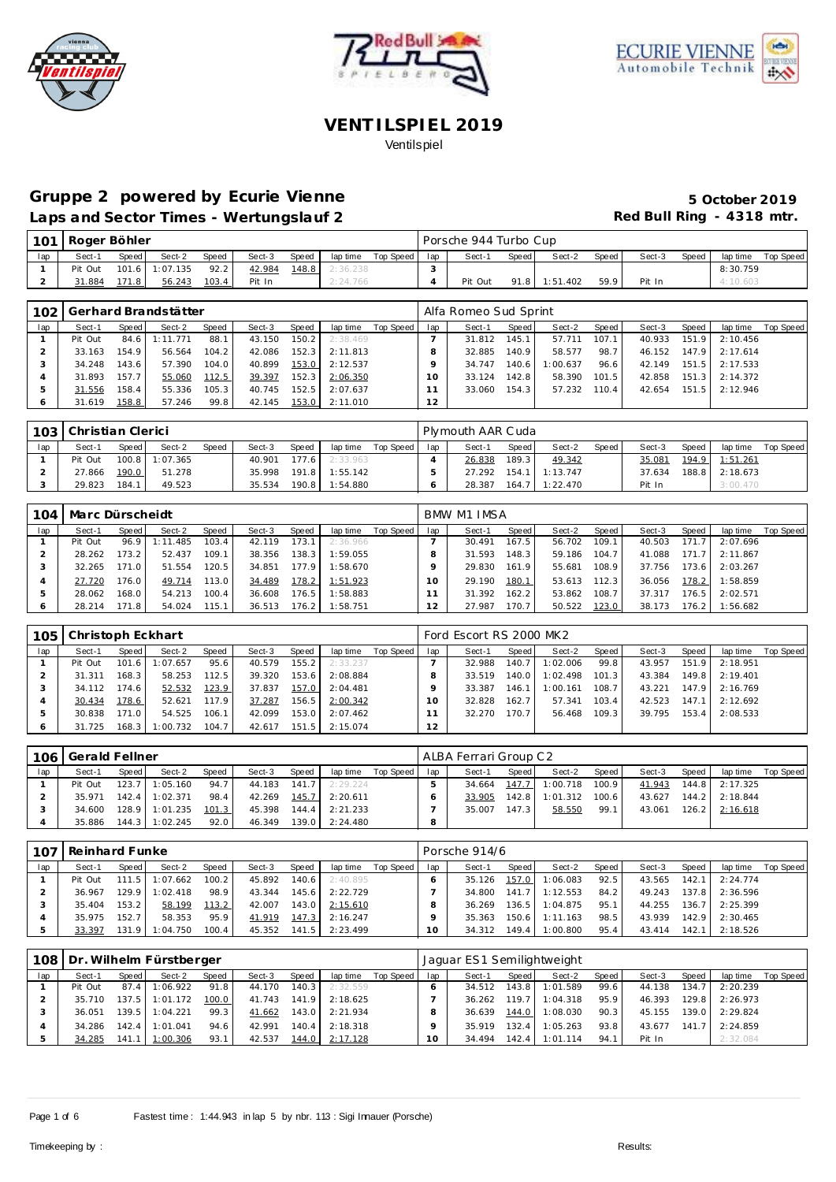





# Gruppe 2 powered by Ecurie Vienne **1999 1999 5 October 2019**

Laps and Sector Times - Wertungslauf 2 **Red Bull Ring - 4318 mtr.** 

|     | 101 Roger Böhler |         |                |       |        |       |          |           |     | Porsche 944 Turbo Cup |       |                 |       |        |       |          |           |
|-----|------------------|---------|----------------|-------|--------|-------|----------|-----------|-----|-----------------------|-------|-----------------|-------|--------|-------|----------|-----------|
| lap | Sect-1           | Speed I | Sect-2         | Speed | Sect-3 | Speed | lap time | Top Speed | lap | Sect-1                | Speed | Sect-2          | Speed | Sect-3 | Speed | lap time | Top Speed |
|     | Pit Out          |         | 101.6 1:07.135 | 92.2  | 42.984 | 148.8 | 2:36.238 |           |     |                       |       |                 |       |        |       | 8:30.759 |           |
|     | 31.884           | 171.8   | 56.243         | 103.4 | Pit In |       | 2:24.766 |           |     | Pit Out               |       | $91.8$ 1:51.402 | 59.9  | Pit In |       | 4:10.603 |           |
|     |                  |         |                |       |        |       |          |           |     |                       |       |                 |       |        |       |          |           |

|                |         |                    | 102   Gerhard Brandstätter |       |        |         |          |           |     | Alfa Romeo Sud Sprint |       |          |       |        |       |                  |           |
|----------------|---------|--------------------|----------------------------|-------|--------|---------|----------|-----------|-----|-----------------------|-------|----------|-------|--------|-------|------------------|-----------|
| lap            | Sect-1  | Speed              | Sect-2                     | Speed | Sect-3 | Speed   | lap time | Top Speed | lap | Sect-1                | Speed | Sect-2   | Speed | Sect-3 | Speed | lap time         | Top Speed |
|                | Pit Out | 84.6               | 1:11.771                   | 88.1  | 43.150 | 150.2   | 2:38.469 |           |     | 31.812                | 145.1 | 57.711   | 107.1 | 40.933 | 151.9 | 2:10.456         |           |
|                | 33.163  | 154.9              | 56.564                     | 104.2 | 42.086 | $152.3$ | 2:11.813 |           |     | 32.885                | 140.9 | 58.577   | 98.7  | 46.152 | 147.9 | 2:17.614         |           |
|                | 34.248  | 143.6 <sub>1</sub> | 57.390                     | 104.0 | 40.899 | 153.0   | 2:12.537 |           |     | 34.747                | 140.6 | 1:00.637 | 96.6  | 42.149 |       | $151.5$ 2:17.533 |           |
| $\overline{A}$ | 31.893  | 157.7              | 55.060                     | 112.5 | 39.397 | 152.3   | 2:06.350 |           |     | 33.124                | 142.8 | 58.390   | 101.5 | 42.858 | 151.3 | 2:14.372         |           |
| 5              | 31.556  | 158.4              | 55.336                     | 105.3 | 40.745 | 152.5   | 2:07.637 |           |     | 33.060                | 154.3 | 57.232   | 110.4 | 42.654 | 151.5 | 2:12.946         |           |
| $\circ$        | 31.619  | 158.8              | 57.246                     | 99.8  | 42.145 | 153.0   | 2:11.010 |           | 12  |                       |       |          |       |        |       |                  |           |

|     | 103 Christian Clerici |       |                |       |        |       |                |           |     | Plymouth AAR Cuda |       |                  |         |        |       |                |           |
|-----|-----------------------|-------|----------------|-------|--------|-------|----------------|-----------|-----|-------------------|-------|------------------|---------|--------|-------|----------------|-----------|
| lap | Sect-1                | Speed | Sect-2         | Speed | Sect-3 | Speed | lap time       | Top Speed | lap | Sect-1            | Speed | Sect-2           | Speed i | Sect-3 | Speed | lap time       | Top Speed |
|     | Pit Out               |       | 100.8 1:07.365 |       | 40.901 | 177.6 | 2:33.963       |           |     | 26.838            | 189.3 | 49.342           |         | 35.081 | 194.9 | 1:51.261       |           |
|     | 27.866                | 190.0 | 51.278         |       | 35.998 |       | 191.8 1:55.142 |           |     | 27.292            |       | $154.1$ 1:13.747 |         | 37.634 |       | 188.8 2:18.673 |           |
|     | 29.823                | 184.1 | 49.523         |       | 35.534 | 190.8 | 1:54.880       |           |     | 28.387            |       | 164.7 1:22.470   |         | Pit In |       | 3:00.470       |           |

| 104 | Marc Dürscheidt |         |          |       |        |       |          |           |     | BMW M1 IMSA |       |        |       |        |       |          |           |
|-----|-----------------|---------|----------|-------|--------|-------|----------|-----------|-----|-------------|-------|--------|-------|--------|-------|----------|-----------|
| lap | Sect-1          | Speed   | Sect-2   | Speed | Sect-3 | Speed | lap time | Top Speed | lap | Sect-1      | Speed | Sect-2 | Speed | Sect-3 | Speed | lap time | Top Speed |
|     | Pit Out         | 96.9    | 1:11.485 | 103.4 | 42.119 | 173.1 | 2:36.966 |           |     | 30.491      | 167.5 | 56.702 | 109.1 | 40.503 | 171.7 | 2:07.696 |           |
|     | 28.262          | 173.2   | 52.437   | 109.1 | 38.356 | 138.3 | 1:59.055 |           |     | 31.593      | 148.3 | 59.186 | 104.7 | 41.088 | 171.7 | 2:11.867 |           |
|     | 32.265          | 171.O I | 51.554   | 120.5 | 34.851 | 177.9 | 1:58.670 |           |     | 29.830      | 161.9 | 55.681 | 108.9 | 37.756 | 173.6 | 2:03.267 |           |
|     | 27.720          | 176.0   | 49.714   | 113.0 | 34.489 | 178.2 | 1:51.923 |           | 10  | 29.190      | 180.1 | 53.613 | 112.3 | 36.056 | 178.2 | 1:58.859 |           |
|     | 28.062          | 168.0   | 54.213   | 100.4 | 36.608 | 176.5 | 1:58.883 |           |     | 31.392      | 162.2 | 53.862 | 108.7 | 37.317 | 176.5 | 2:02.571 |           |
|     | 28.214          | 171.8   | 54.024   | 115.1 | 36.513 | 176.2 | 1:58.751 |           | 12  | 27.987      | 170.7 | 50.522 | 123.0 | 38.173 | 176.2 | 1:56.682 |           |

| 105 | Christoph Eckhart |        |          |       |        |       |          |                 |    | Ford Escort RS 2000 MK2 |         |          |       |        |       |          |           |
|-----|-------------------|--------|----------|-------|--------|-------|----------|-----------------|----|-------------------------|---------|----------|-------|--------|-------|----------|-----------|
| lap | Sect-1            | Speed  | Sect-2   | Speed | Sect-3 | Speed | lap time | Top Speed   lap |    | Sect-1                  | Speed I | Sect-2   | Speed | Sect-3 | Speed | lap time | Top Speed |
|     | Pit Out           | 101.6  | :07.657  | 95.6  | 40.579 | 155.2 | 2:33.237 |                 |    | 32.988                  | 140.7   | 1:02.006 | 99.8  | 43.957 | 151.9 | 2:18.951 |           |
|     | 31.311            | 168.3  | 58.253   | 112.5 | 39.320 | 153.6 | 2:08.884 |                 |    | 33.519                  | 140.0   | 1:02.498 | 101.3 | 43.384 | 149.8 | 2:19.401 |           |
|     | 34.112            | 174.61 | 52.532   | 123.9 | 37.837 | 157.0 | 2:04.481 |                 |    | 33.387                  | 146.1   | 1:00.161 | 108.7 | 43.221 | 147.9 | 2:16.769 |           |
|     | 30.434            | 178.6  | 52.621   | 117.9 | 37.287 | 156.5 | 2:00.342 |                 |    | 32.828                  | 162.7   | 57.341   | 103.4 | 42.523 | 147.1 | 2:12.692 |           |
| 5   | 30.838            | 171.0  | 54.525   | 106.1 | 42.099 | 153.0 | 2:07.462 |                 |    | 32.270                  | 170.7   | 56.468   | 109.3 | 39.795 | 153.4 | 2:08.533 |           |
| 6   | 31.725            | 168.3  | 1:00.732 | 104.7 | 42.617 | 151.5 | 2:15.074 |                 | 12 |                         |         |          |       |        |       |          |           |

| 106 | Gerald Fellner |         |                |       |        |       |          |           |     | ALBA Ferrari Group C2 |       |                      |       |        |       |          |           |
|-----|----------------|---------|----------------|-------|--------|-------|----------|-----------|-----|-----------------------|-------|----------------------|-------|--------|-------|----------|-----------|
| lap | Sect-1         | Speed I | Sect-2         | Speed | Sect-3 | Speed | lap time | Top Speed | lap | Sect-1                | Speed | Sect-2               | Speed | Sect-3 | Speed | lap time | Top Speed |
|     | Pit Out        | 123.7   | 1:05.160       | 94.7  | 44.183 | 141.7 | 2:29.224 |           |     | 34.664                |       | 147.7 1:00.718 100.9 |       | 41.943 | 144.8 | 2:17.325 |           |
|     | 35.971         | 142.4   | 1:02.371       | 98.4  | 42.269 | 145.7 | 2:20.611 |           |     | 33.905                | 142.8 | 1:01.312             | 100.6 | 43.627 | 144.2 | 2:18.844 |           |
|     | 34.600         |         | 128.9 1:01.235 | 101.3 | 45.398 | 144.4 | 2:21.233 |           |     | 35.007                | 147.3 | 58.550               | 99.1  | 43.061 | 126.2 | 2:16.618 |           |
|     | 35.886         | 144.3   | 1:02.245       | 92.0  | 46.349 | 139.0 | 2:24.480 |           |     |                       |       |                      |       |        |       |          |           |

| 107 | Reinhard Funke |         |                  |       |        |       |          |           |     | Porsche 914/6 |         |          |       |        |       |                    |           |
|-----|----------------|---------|------------------|-------|--------|-------|----------|-----------|-----|---------------|---------|----------|-------|--------|-------|--------------------|-----------|
| lap | Sect-1         | Speed I | Sect-2           | Speed | Sect-3 | Speed | lap time | Top Speed | lap | Sect-1        | Speed I | Sect-2   | Speed | Sect-3 | Speed | lap time           | Top Speed |
|     | Pit Out        | 111.5   | 1:07.662         | 100.2 | 45.892 | 140.6 | 2:40.895 |           |     | 35.126        | 157.0   | 1:06.083 | 92.5  | 43.565 | 142.1 | 2:24.774           |           |
|     | 36.967         |         | $129.9$ 1:02.418 | 98.9  | 43.344 | 145.6 | 2:22.729 |           |     | 34.800        | 141.7   | 1:12.553 | 84.2  | 49.243 |       | $137.8$ $2:36.596$ |           |
|     | 35.404         | 153.2   | 58.199           | 113.2 | 42.007 | 143.0 | 2:15.610 |           |     | 36.269        | 136.5   | 1:04.875 | 95.11 | 44.255 |       | $136.7$ 2:25.399   |           |
|     | 35.975         | 152.7   | 58.353           | 95.9  | 41.919 | 147.3 | 2:16.247 |           |     | 35.363        | 150.6   | 1:11.163 | 98.5  | 43.939 | 142.9 | 2:30.465           |           |
|     | 33.397         | 131.9   | 1:04.750         | 100.4 | 45.352 | 141.5 | 2:23.499 |           | 10  | 34.312        | 149.4   | 1:00.800 | 95.4  | 43.414 | 142.1 | 2:18.526           |           |

|     |         |       | 108 Dr. Wilhelm Fürstberger |       |        |       |          |           |     | Jaguar ES1 Semilightweight |       |          |       |        |        |          |           |
|-----|---------|-------|-----------------------------|-------|--------|-------|----------|-----------|-----|----------------------------|-------|----------|-------|--------|--------|----------|-----------|
| lap | Sect-1  | Speed | Sect-2                      | Speed | Sect-3 | Speed | lap time | Top Speed | lap | Sect-1                     | Speed | Sect-2   | Speed | Sect-3 | Speed  | lap time | Top Speed |
|     | Pit Out | 87.4  | 1:06.922                    | 91.8  | 44.170 | 140.3 | 2:32.559 |           |     | 34.512                     | 143.8 | 1:01.589 | 99.6  | 44.138 | 134.7  | 2:20.239 |           |
|     | 35.710  | 137.5 | 1:01.172                    | 100.0 | 41.743 | 141.9 | 2:18.625 |           |     | 36.262                     | 119.7 | 1:04.318 | 95.9  | 46.393 | 129.81 | 2:26.973 |           |
|     | 36.051  | 139.5 | 1:04.221                    | 99.3  | 41.662 | 143.0 | 2:21.934 |           |     | 36.639                     | 144.0 | 1:08.030 | 90.3  | 45.155 | 139.0  | 2:29.824 |           |
|     | 34.286  | 142.4 | 1:01.041                    | 94.6  | 42.991 | 140.4 | 2:18.318 |           |     | 35.919                     | 132.4 | 1:05.263 | 93.8  | 43.677 | 141.7  | 2:24.859 |           |
|     | 34.285  | 141.1 | 1:00.306                    | 93.1  | 42.537 | 144.0 | 2:17.128 |           |     | 34.494                     | 142.4 | 1:01.114 | 94.1  | Pit In |        | 2:32.084 |           |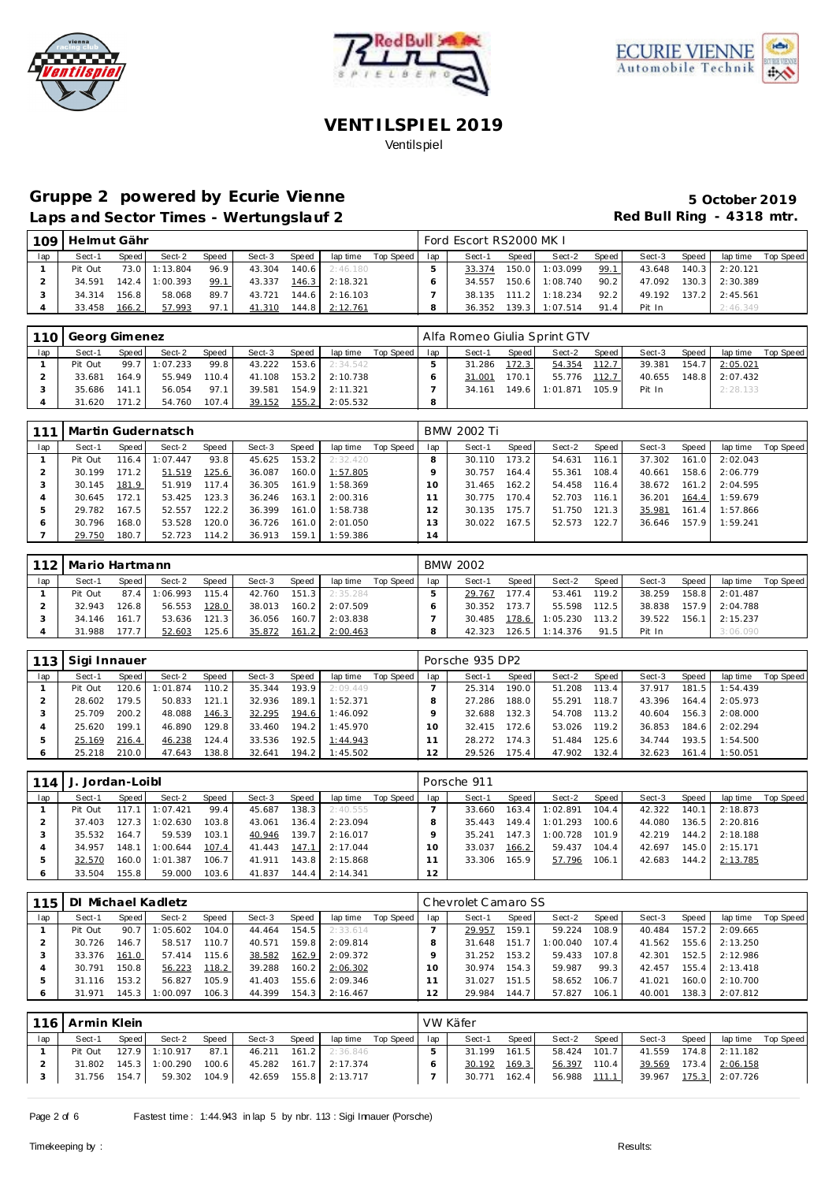





## Gruppe 2 powered by Ecurie Vienne **1999 1999 5 October 2019** Laps and Sector Times - Wertungslauf 2 **Red Bull Ring - 4318 mtr.**

| 109 | Helmut Gähr |        |                |       |        |       |                       |             |     | Ford Escort RS2000 MK L |       |                  |         |        |       |                  |           |
|-----|-------------|--------|----------------|-------|--------|-------|-----------------------|-------------|-----|-------------------------|-------|------------------|---------|--------|-------|------------------|-----------|
| lap | Sect-1      | Speed  | Sect-2         | Speed | Sect-3 | Speed | lap time              | Top Speed I | lap | Sect-1                  | Speed | Sect-2           | Speed I | Sect-3 | Speed | lap time         | Top Speed |
|     | Pit Out     | 73.0   | 1:13.804       | 96.9  | 43.304 |       | <b>140.6</b> 2:46.180 |             |     | 33.374                  |       | 150.0 1:03.099   | 99.1    | 43.648 |       | $140.3$ 2:20.121 |           |
|     | 34.591      |        | 142.4 1:00.393 | 99.1  | 43.337 |       | 146.3 2:18.321        |             |     | 34.557                  |       | 150.6 1:08.740   | 90.2    | 47.092 |       | $130.3$ 2:30.389 |           |
|     | 34.314      | 156.81 | 58.068         | 89.7  | 43.721 |       | 144.6 2:16.103        |             |     | 38.135                  |       | $111.2$ 1:18.234 | 92.2    | 49.192 | 137.2 | 2:45.561         |           |
|     | 33.458      | 166.2  | 57.993         | 97.1  | 41.310 | 144.8 | 2:12.761              |             |     | 36.352                  | 139.3 | 1:07.514         | 91.4    | Pit In |       | 2:46.349         |           |

|     | 110 Georg Gimenez |         |         |              |        |       |          |           |     | Alfa Romeo Giulia Sprint GTV |       |          |       |        |       |          |           |
|-----|-------------------|---------|---------|--------------|--------|-------|----------|-----------|-----|------------------------------|-------|----------|-------|--------|-------|----------|-----------|
| lap | Sect-1            | Speed   | Sect-2  | <b>Speed</b> | Sect-3 | Speed | lap time | Top Speed | lap | Sect-1                       | Speed | Sect-2   | Speed | Sect-3 | Speed | lap time | Top Speed |
|     | Pit Out           | 99.7    | :07.233 | 99.8         | 43.222 | 153.6 | 2:34.542 |           |     | 31.286                       | 172.3 | 54.354   | 112.7 | 39.381 | 154.7 | 2:05.021 |           |
|     | 33.681            | 164.9   | 55.949  | 110.4        | 41.108 | 153.2 | 2:10.738 |           |     | 31.001                       | 170.1 | 55.776   | 112.7 | 40.655 | 148.8 | 2:07.432 |           |
|     | 35.686            | 141.1   | 56.054  | 97.1         | 39.581 | 154.9 | 2:11.321 |           |     | 34.161                       | 149.6 | 1:01.871 | 105.9 | Pit In |       | 2:28.133 |           |
|     | 31.620            | 171.2 I | 54.760  | 107.4        | 39.152 | 155.2 | 2:05.532 |           |     |                              |       |          |       |        |       |          |           |

|     |         |         | l Martin Gudernatsch |       |        |       |          |           |     | BMW 2002 Ti |       |        |       |        |       |          |           |
|-----|---------|---------|----------------------|-------|--------|-------|----------|-----------|-----|-------------|-------|--------|-------|--------|-------|----------|-----------|
| lap | Sect-1  | Speed   | Sect-2               | Speed | Sect-3 | Speed | lap time | Top Speed | lap | Sect-1      | Speed | Sect-2 | Speed | Sect-3 | Speed | lap time | Top Speed |
|     | Pit Out | 116.4   | 1:07.447             | 93.8  | 45.625 | 153.2 | 2:32.420 |           |     | 30.110      | 173.2 | 54.631 | 116.1 | 37.302 | 161.0 | 2:02.043 |           |
|     | 30.199  | 171.2   | 51.519               | 125.6 | 36.087 | 160.0 | 1:57.805 |           |     | 30.757      | 164.4 | 55.361 | 108.4 | 40.661 | 158.6 | 2:06.779 |           |
|     | 30.145  | 181.9   | 51.919               | 117.4 | 36.305 | 161.9 | 1:58.369 |           |     | 31.465      | 162.2 | 54.458 | 116.4 | 38.672 | 161.2 | 2:04.595 |           |
|     | 30.645  | 172.1   | 53.425               | 123.3 | 36.246 | 163.1 | 2:00.316 |           |     | 30.775      | 170.4 | 52.703 | 116.1 | 36.201 | 164.4 | 1:59.679 |           |
|     | 29.782  | 167.5   | 52.557               | 122.2 | 36.399 | 161.0 | 1:58.738 |           |     | 30.135      | 175.7 | 51.750 | 121.3 | 35.981 | 161.4 | 1:57.866 |           |
|     | 30.796  | 168.0 l | 53.528               | 120.0 | 36.726 | 161.0 | 2:01.050 |           | 3   | 30.022      | 167.5 | 52.573 | 122.7 | 36.646 | 157.9 | 1:59.241 |           |
|     | 29.750  | 180.7   | 52.723               | 114.2 | 36.913 | 159.1 | 1:59.386 |           | (4) |             |       |        |       |        |       |          |           |

|     | 112   Mario Hartmann |       |          |       |        |       |          |             |     | <b>BMW 2002</b> |         |                  |       |        |       |                |           |
|-----|----------------------|-------|----------|-------|--------|-------|----------|-------------|-----|-----------------|---------|------------------|-------|--------|-------|----------------|-----------|
| lap | Sect-1               | Speed | Sect-2   | Speed | Sect-3 | Speed | lap time | Top Speed I | lap | Sect-1          | Speed I | Sect-2           | Speed | Sect-3 | Speed | lap time       | Top Speed |
|     | Pit Out              | 87.4  | 1:06.993 | 115.4 | 42.760 | 151.3 | 2:35.284 |             |     | 29.767          | 177.4   | 53.461           | 119.2 | 38.259 |       | 158.8 2:01.487 |           |
|     | 32.943               | 126.8 | 56.553   | 128.0 | 38.013 | 160.2 | 2:07.509 |             |     | 30.352          | 173.7   | 55.598           | 112.5 | 38.838 |       | 157.9 2:04.788 |           |
|     | 34.146               | 161.7 | 53.636   | 121.3 | 36.056 | 160.7 | 2:03.838 |             |     | 30.485          | 178.6   | 1:05.230         | 113.2 | 39.522 | 156.1 | 2:15.237       |           |
|     | 31.988               | 177.7 | 52.603   | 125.6 | 35.872 | 161.2 | 2:00.463 |             |     | 42.323          |         | $126.5$ 1:14.376 | 91.5  | Pit In |       | 3:06.090       |           |

| 113 | Sigi Innauer |       |          |       |        |       |          |           |     | Porsche 935 DP2 |       |        |       |        |       |          |           |
|-----|--------------|-------|----------|-------|--------|-------|----------|-----------|-----|-----------------|-------|--------|-------|--------|-------|----------|-----------|
| lap | Sect-1       | Speed | Sect-2   | Speed | Sect-3 | Speed | lap time | Top Speed | lap | Sect-1          | Speed | Sect-2 | Speed | Sect-3 | Speed | lap time | Top Speed |
|     | Pit Out      | 120.6 | : 01.874 | 110.2 | 35.344 | 193.9 | 2:09.449 |           |     | 25.314          | 190.0 | 51.208 | 113.4 | 37.917 | 181.5 | 1:54.439 |           |
|     | 28.602       | 79.5  | 50.833   | 121.1 | 32.936 | 189.1 | 1:52.371 |           |     | 27.286          | 188.0 | 55.291 | 118.7 | 43.396 | 164.4 | 2:05.973 |           |
|     | 25.709       | 200.2 | 48.088   | 146.3 | 32.295 | 194.6 | 1:46.092 |           |     | 32.688          | 132.3 | 54.708 | 113.2 | 40.604 | 156.3 | 2:08,000 |           |
|     | 25.620       | 199.1 | 46.890   | 129.8 | 33.460 | 194.2 | 1:45.970 |           |     | 32.415          | 172.6 | 53.026 | 119.2 | 36.853 | 184.6 | 2:02.294 |           |
| 5   | 25.169       | 216.4 | 46.238   | 124.4 | 33.536 | 192.5 | 1:44.943 |           |     | 28.272          | 174.3 | 51.484 | 125.6 | 34.744 | 193.5 | 1:54.500 |           |
| 6   | 25.218       | 210.0 | 47.643   | 138.8 | 32.641 | 194.2 | 1:45.502 |           | 12  | 29.526          | 175.4 | 47.902 | 132.4 | 32.623 | 161.4 | 1:50.051 |           |

| 114 |         | Jordan-Loibl |                |       |        |       |          |           |     | Porsche 911 |         |          |       |        |       |                |           |
|-----|---------|--------------|----------------|-------|--------|-------|----------|-----------|-----|-------------|---------|----------|-------|--------|-------|----------------|-----------|
| lap | Sect-1  | Speed        | Sect-2         | Speed | Sect-3 | Speed | lap time | Top Speed | lap | Sect-1      | Speed   | Sect-2   | Speed | Sect-3 | Speed | lap time       | Top Speed |
|     | Pit Out | 117.1        | 1:07.421       | 99.4  | 45.687 | 138.3 | 2:40.555 |           |     | 33.660      | 163.4   | 1:02.891 | 104.4 | 42.322 | 140.1 | 2:18.873       |           |
|     | 37.403  | 127.3        | 1:02.630       | 103.8 | 43.061 | 136.4 | 2:23.094 |           |     | 35.443      | 149.4   | 1:01.293 | 100.6 | 44.080 | 136.5 | 2:20.816       |           |
|     | 35.532  | 164.7        | 59.539         | 103.1 | 40.946 | 139.7 | 2:16.017 |           |     | 35.241      | $147.3$ | 1:00.728 | 101.9 | 42.219 | 144.2 | 2:18.188       |           |
|     | 34.957  | 148.1        | 1:00.644       | 107.4 | 41.443 | 147.1 | 2:17.044 |           | 10  | 33.037      | 166.2   | 59.437   | 104.4 | 42.697 |       | 145.0 2:15.171 |           |
|     | 32.570  |              | 160.0 1:01.387 | 106.7 | 41.911 | 143.8 | 2:15.868 |           |     | 33.306      | 165.9   | 57.796   | 106.1 | 42.683 | 144.2 | 2:13.785       |           |
|     | 33.504  | 155.8        | 59.000         | 103.6 | 41.837 | 144.4 | 2:14.341 |           | 12  |             |         |          |       |        |       |                |           |

| 115 |         |         | Michael Kadletz |       |        |                    |          |           |     | Chevrolet Camaro SS |       |          |       |        |       |          |                  |
|-----|---------|---------|-----------------|-------|--------|--------------------|----------|-----------|-----|---------------------|-------|----------|-------|--------|-------|----------|------------------|
| lap | Sect-1  | Speed I | Sect-2          | Speed | Sect-3 | Speed              | lap time | Top Speed | lap | Sect-1              | Speed | Sect-2   | Speed | Sect-3 | Speed | lap time | <b>Top Speed</b> |
|     | Pit Out | 90.7    | :05.602         | 104.0 | 44.464 | 154.5              | 2:33.614 |           |     | 29.957              | 159.1 | 59.224   | 108.9 | 40.484 | 157.2 | 2:09.665 |                  |
|     | 30.726  | 146.7   | 58.517          | 110.7 | 40.571 | 159.8 <sub>1</sub> | 2:09.814 |           |     | 31.648              | 151.  | 1:00.040 | 107.4 | 41.562 | 155.6 | 2:13.250 |                  |
|     | 33.376  | 161.0   | 57.414          | 115.6 | 38.582 | 162.9              | 2:09.372 |           |     | 31.252              | 153.2 | 59.433   | 107.8 | 42.301 | 152.5 | 2:12.986 |                  |
|     | 30.791  | 150.8   | 56.223          | 118.2 | 39.288 | 160.2              | 2:06.302 |           | Ω   | 30.974              | 154.3 | 59.987   | 99.3  | 42.457 | 155.4 | 2:13.418 |                  |
|     | 31.116  | 153.21  | 56.827          | 105.9 | 41.403 | 155.6              | 2:09.346 |           |     | 31.027              | 151.5 | 58.652   | 106.7 | 41.021 | 160.0 | 2:10.700 |                  |
|     | 31.971  | 145.3   | 1:00.097        | 106.3 | 44.399 | 154.3              | 2:16.467 |           |     | 29.984              | 144.7 | 57.827   | 106.1 | 40.001 | 138.3 | 2:07.812 |                  |

|     | 116   Armin Klein |       |                |       |        |       |                       |                    |     | VW Käfer |       |               |       |        |         |                       |                    |
|-----|-------------------|-------|----------------|-------|--------|-------|-----------------------|--------------------|-----|----------|-------|---------------|-------|--------|---------|-----------------------|--------------------|
| lap | Sect-1            | Speed | Sect-2         | Speed | Sect-3 | Speed |                       | lap time Top Speed | lap | Sect-1   | Speed | Sect-2        | Speed | Sect-3 | Speed I |                       | lap time Top Speed |
|     | Pit Out           |       | 127.9 1:10.917 | 87.1  |        |       | 46.211 161.2 2:36.846 |                    |     | 31.199   | 161.5 | 58.424        | 101.7 |        |         | 41.559 174.8 2:11.182 |                    |
|     | 31.802            |       | 145.3 1:00.290 | 100.6 |        |       | 45.282 161.7 2:17.374 |                    |     | 30.192   | 169.3 | <u>56.397</u> | 110.4 |        |         | 39.569 173.4 2:06.158 |                    |
|     | 31.756            | 154.7 | 59.302         | 104.9 |        |       | 42.659 155.8 2:13.717 |                    |     | 30.771   | 162.4 | 56.988 111.1  |       |        |         | 39.967 175.3 2:07.726 |                    |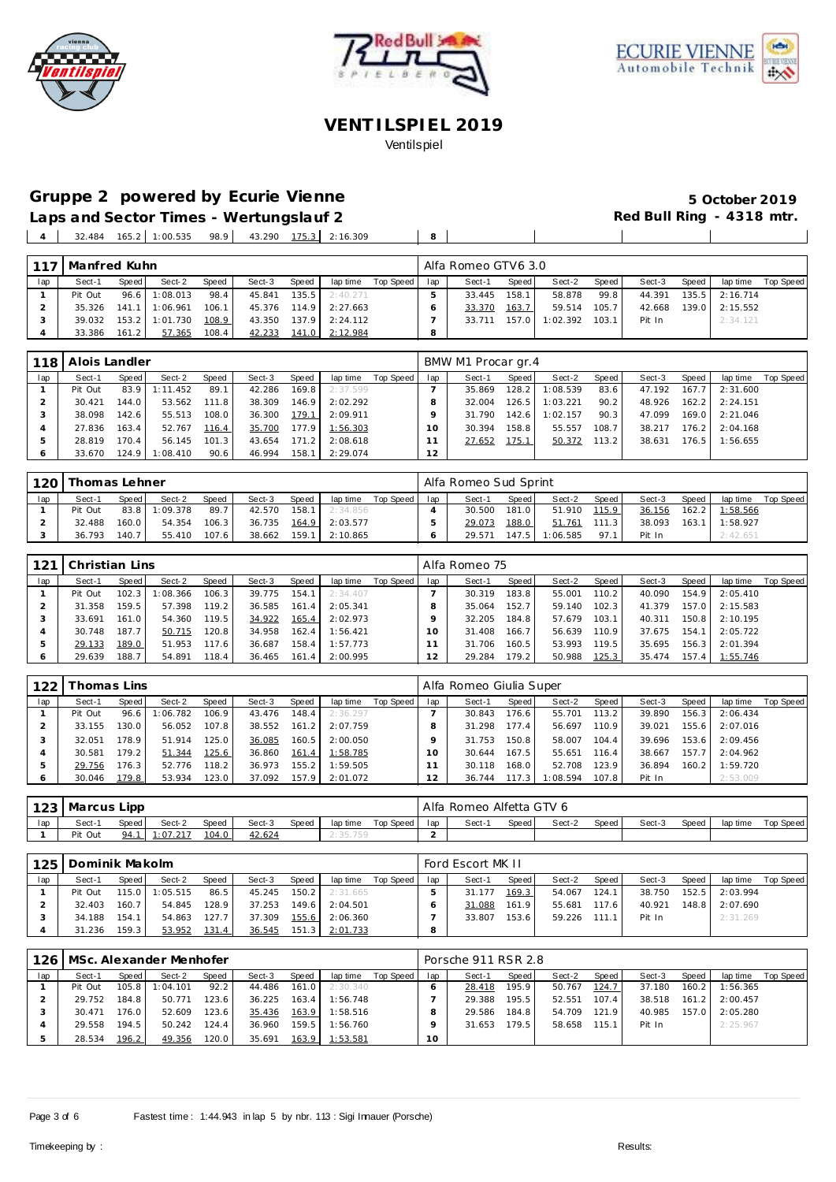





# **Gruppe 2 powered by Ecurie Vienne 5 October 2019**

Laps and Sector Times - Wertungslauf 2 **Red Bull Ring - 4318 mtr.**  $\blacksquare$ 

 $\blacksquare$ 

32.484 165.2 1:00.535 98.9 43.290 175.3 2:16.309 8

| 117 | Manfred Kuhn |       |          |       |              |       |          |           |     | Alfa Romeo GTV6 3.0 |       |          |       |        |       |          |                    |
|-----|--------------|-------|----------|-------|--------------|-------|----------|-----------|-----|---------------------|-------|----------|-------|--------|-------|----------|--------------------|
| lap | Sect-1       | Speed | Sect-2   | Speed | Sect-3       | Speed | lap time | Top Speed | lap | Sect-1              | Speed | Sect-2   | Speed | Sect-3 | Speed |          | lap time Top Speed |
|     | Pit Out      | 96.6  | 1:08.013 | 98.4  | 45.841       | 135.5 | 2:40.271 |           |     | 33.445              | 158.1 | 58.878   | 99.8  | 44.391 | 135.5 | 2:16.714 |                    |
|     | 35.326       | 141.1 | 1:06.961 | 106.1 | 45.376       | 114.9 | 2:27.663 |           |     | 33.370              | 163.7 | 59.514   | 105.7 | 42.668 | 139.0 | 2:15.552 |                    |
|     | 39.032       | 153.2 | 1:01.730 | 108.9 | 43.350 137.9 |       | 2:24.112 |           |     | 33.711              | 157.0 | 1:02.392 | 103.1 | Pit In |       | 2:34.121 |                    |
| 4   | 33.386       | 161.2 | 57.365   | 108.4 | 42.233       | 141.0 | 2:12.984 |           |     |                     |       |          |       |        |       |          |                    |

|     | 118   Alois Landler |         |          |       |        |       |          |           |     | BMW M1 Procar gr.4 |       |          |       |        |       |          |           |
|-----|---------------------|---------|----------|-------|--------|-------|----------|-----------|-----|--------------------|-------|----------|-------|--------|-------|----------|-----------|
| lap | Sect-1              | Speed   | Sect-2   | Speed | Sect-3 | Speed | lap time | Top Speed | lap | Sect-1             | Speed | Sect-2   | Speed | Sect-3 | Speed | lap time | Top Speed |
|     | Pit Out             | 83.9    | 1:11.452 | 89.1  | 42.286 | 169.8 | 2:37.599 |           |     | 35.869             | 128.2 | 1:08.539 | 83.6  | 47.192 | 167.7 | 2:31.600 |           |
|     | 30.421              | 144.O I | 53.562   | 111.8 | 38.309 | 146.9 | 2:02.292 |           |     | 32.004             | 126.5 | 1:03.221 | 90.2  | 48.926 | 162.2 | 2:24.151 |           |
|     | 38.098              | 142.6   | 55.513   | 108.0 | 36.300 | 179.1 | 2:09.911 |           |     | 31.790             | 142.6 | 1:02.157 | 90.3  | 47.099 | 169.0 | 2:21.046 |           |
|     | 27.836              | 163.4   | 52.767   | 116.4 | 35.700 | 177.9 | 1:56.303 |           |     | 30.394             | 158.8 | 55.557   | 108.7 | 38.217 | 176.2 | 2:04.168 |           |
|     | 28.819              | 170.4   | 56.145   | 101.3 | 43.654 | 171.2 | 2:08.618 |           |     | 27.652             | 175.1 | 50.372   | 113.2 | 38.631 | 176.5 | 1:56.655 |           |
|     | 33.670              | 124.9   | 1:08.410 | 90.6  | 46.994 | 158.1 | 2:29.074 |           | 12  |                    |       |          |       |        |       |          |           |

| 120 | Thomas Lehner |         |               |       |        |       |          |           |     | Alfa Romeo Sud Sprint |         |          |       |        |         |          |           |
|-----|---------------|---------|---------------|-------|--------|-------|----------|-----------|-----|-----------------------|---------|----------|-------|--------|---------|----------|-----------|
| lap | Sect-1        | Speed   | Sect-2        | Speed | Sect-3 | Speed | lap time | Top Speed | lap | Sect-1                | Speed   | Sect-2   | Speed | Sect-3 | Speed   | lap time | Top Speed |
|     | Pit Out       |         | 83.8 1:09.378 | 89.7  | 42.570 | 158.1 | 2:34.856 |           |     | 30.500                | 181.0 L | 51.910   | 115.9 | 36.156 | $162.2$ | 1:58.566 |           |
|     | 32.488        | 160.0   | 54.354        | 106.3 | 36.735 | 164.9 | 2:03.577 |           |     | 29.073                | 188.0   | 51.761   | 111.3 | 38.093 | 163.1   | 1:58.927 |           |
|     | 36.793        | 140.7 I | 55.410        | 107.6 | 38.662 | 159.1 | 2:10.865 |           |     | 29.571                | 147.51  | 1:06.585 | 97.1  | Pit In |         | 2:42.651 |           |

| 121 | Christian Lins |       |         |       |        |       |          |           |     | Alfa Romeo 75 |                    |        |        |        |       |          |           |
|-----|----------------|-------|---------|-------|--------|-------|----------|-----------|-----|---------------|--------------------|--------|--------|--------|-------|----------|-----------|
| lap | Sect-1         | Speed | Sect-2  | Speed | Sect-3 | Speed | lap time | Top Speed | lap | Sect-1        | Speed              | Sect-2 | Speed  | Sect-3 | Speed | lap time | Top Speed |
|     | Pit Out        | 102.3 | :08.366 | 106.3 | 39.775 | 154.1 | 2:34.407 |           |     | 30.319        | 183.8              | 55.001 | 110.21 | 40.090 | 154.9 | 2:05.410 |           |
|     | 31.358         | 159.5 | 57.398  | 119.2 | 36.585 | 161.4 | 2:05.341 |           |     | 35.064        | 152.7              | 59.140 | 102.3  | 41.379 | 157.0 | 2:15.583 |           |
| З   | 33.691         | 161.0 | 54.360  | 119.5 | 34.922 | 165.4 | 2:02.973 |           |     | 32.205        | 184.8              | 57.679 | 103.1  | 40.311 | 150.8 | 2:10.195 |           |
|     | 30.748         | 187.7 | 50.715  | 120.8 | 34.958 | 162.4 | 1:56.421 |           | 10  | 31.408        | 166.7.             | 56.639 | 110.9  | 37.675 | 154.1 | 2:05.722 |           |
| Ŀ.  | 29.133         | 189.0 | 51.953  | 117.6 | 36.687 | 158.4 | 1:57.773 |           |     | 31.706        | 160.5              | 53.993 | 119.5  | 35.695 | 156.3 | 2:01.394 |           |
|     | 29.639         | 188.7 | 54.891  | 118.4 | 36.465 | 161.4 | 2:00.995 |           | 12  | 29.284        | 179.2 <sub>1</sub> | 50.988 | 125.3  | 35.474 | 157.4 | 1:55.746 |           |

| 122 | `homas Lins |       |          |        |        |       |          |           |               | Alfa Romeo Giulia Super |        |          |           |        |       |          |           |
|-----|-------------|-------|----------|--------|--------|-------|----------|-----------|---------------|-------------------------|--------|----------|-----------|--------|-------|----------|-----------|
| lap | Sect-1      | Speed | Sect-2   | Speed  | Sect-3 | Speed | lap time | Top Speed | lap           | Sect-1                  | Speed  | Sect-2   | Speed     | Sect-3 | Speed | lap time | Top Speed |
|     | Pit Out     | 96.6  | 1:06.782 | 106.9  | 43.476 | 148.4 | 2:36.297 |           |               | 30.843                  | 176.6  | 55.701   | $113.2 -$ | 39.890 | 156.3 | 2:06.434 |           |
|     | 33.155      | 130.0 | 56.052   | 107.8  | 38.552 | 161.2 | 2:07.759 |           |               | 31.298                  | 177.4  | 56.697   | 110.9     | 39.021 | 155.6 | 2:07.016 |           |
|     | 32.051      | 178.9 | 51.914   | 125.0  | 36.085 | 160.5 | 2:00.050 |           |               | 31.753                  | 150.8  | 58.007   | 104.4     | 39.696 | 153.6 | 2:09.456 |           |
|     | 30.581      | 179.2 | 51.344   | 125.6  | 36.860 | 161.4 | 1:58.785 |           |               | 30.644                  | 167.5  | 55.651   | 116.4     | 38.667 | 157.7 | 2:04.962 |           |
|     | 29.756      | 176.3 | 52.776   | 118.2  | 36.973 | 155.2 | 1:59.505 |           |               | 30.118                  | 168.01 | 52.708   | 123.9     | 36.894 | 160.2 | 1:59.720 |           |
|     | 30.046      | 179.8 | 53.934   | 123.0. | 37.092 | 157.9 | 2:01.072 |           | $\mathcal{L}$ | 36.744                  | 117.3  | 1:08.594 | 107.8     | Pit In |       | 2:53.009 |           |

|     | 123   Marcus Lipp |       |          |       |        |       |          |           |     | Alfa Romeo Alfetta GTV 6 |       |        |       |        |       |          |           |
|-----|-------------------|-------|----------|-------|--------|-------|----------|-----------|-----|--------------------------|-------|--------|-------|--------|-------|----------|-----------|
| lap | Sect-1            | Speed | Sect-2   | Speed | Sect-3 | Speed | lap time | Top Speed | lap | Sect-1                   | Speed | Sect-2 | Speed | Sect-3 | Speed | lap time | Top Speed |
|     | Pit Out           | 94.1  | 1:07.217 | 104.0 | 42.624 |       |          |           |     |                          |       |        |       |        |       |          |           |

| 125 | Dominik Makolm<br>Speed I<br>Sect-2<br><b>Speed</b><br>Sect-3<br>Speed<br>lap time<br>Sect-1<br>86.5<br>$115.0$ $\blacksquare$<br>1:05.515<br>150.2<br>Pit Out<br>45.245<br>2:31.665 |                  |        |       |        |       |          |           |     | Ford Escort MK II |       |        |       |        |       |          |           |
|-----|--------------------------------------------------------------------------------------------------------------------------------------------------------------------------------------|------------------|--------|-------|--------|-------|----------|-----------|-----|-------------------|-------|--------|-------|--------|-------|----------|-----------|
| lap |                                                                                                                                                                                      |                  |        |       |        |       |          | Top Speed | lap | Sect-1            | Speed | Sect-2 | Speed | Sect-3 | Speed | lap time | Top Speed |
|     |                                                                                                                                                                                      |                  |        |       |        |       |          |           |     | 31.177            | 169.3 | 54.067 | 124.1 | 38.750 | 152.5 | 2:03.994 |           |
|     | 32.403                                                                                                                                                                               | 160.7            | 54.845 | 128.9 | 37.253 | 149.6 | 2:04.501 |           |     | 31.088            | 161.9 | 55.681 | 117.6 | 40.921 | 148.8 | 2:07.690 |           |
|     | 34.188                                                                                                                                                                               | 154.1            | 54.863 | 127.7 | 37.309 | 155.6 | 2:06.360 |           |     | 33.807            | 153.6 | 59.226 | 111.1 | Pit In |       | 2:31.269 |           |
|     | 31.236                                                                                                                                                                               | $159.3 \text{ }$ | 53.952 | 131.4 | 36.545 | 151.3 | 2:01.733 |           | 8   |                   |       |        |       |        |       |          |           |

|     |         |       | 126   MSc. Alexander Menhofer |       |        |       |          |           |                 | Porsche 911 RSR 2.8 |       |        |       |        |       |          |           |
|-----|---------|-------|-------------------------------|-------|--------|-------|----------|-----------|-----------------|---------------------|-------|--------|-------|--------|-------|----------|-----------|
| lap | Sect-1  | Speed | Sect-2                        | Speed | Sect-3 | Speed | lap time | Top Speed | lap             | Sect-1              | Speed | Sect-2 | Speed | Sect-3 | Speed | lap time | Top Speed |
|     | Pit Out | 105.8 | 1:04.101                      | 92.2  | 44.486 | 161.0 | 2:30.340 |           |                 | 28.418              | 195.9 | 50.767 | 124.7 | 37.180 | 160.2 | 1:56.365 |           |
|     | 29.752  | 184.8 | 50.771                        | 123.6 | 36.225 | 163.4 | 1:56.748 |           |                 | 29.388              | 195.5 | 52.551 | 107.4 | 38.518 | 161.2 | 2:00.457 |           |
|     | 30.471  | 176.0 | 52.609                        | 123.6 | 35.436 | 163.9 | 1:58.516 |           |                 | 29.586              | 184.8 | 54.709 | 121.9 | 40.985 | 157.0 | 2:05.280 |           |
|     | 29.558  | 194.5 | 50.242                        | 124.4 | 36.960 | 159.5 | 1:56.760 |           |                 | 31.653              | 179.5 | 58.658 | 115.1 | Pit In |       | 2:25.967 |           |
|     | 28.534  | 196.2 | 49.356                        | 120.0 | 35.691 | 163.9 | 1:53.581 |           | 10 <sup>°</sup> |                     |       |        |       |        |       |          |           |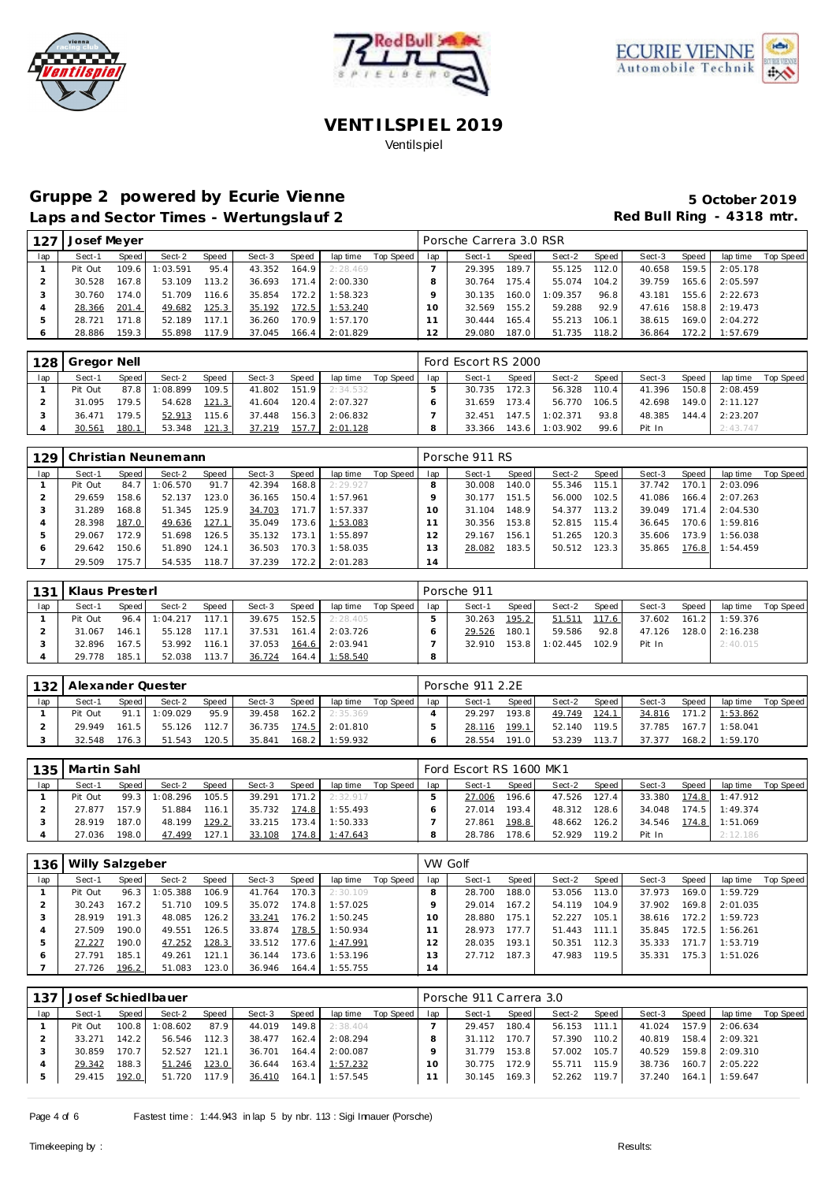





### Gruppe 2 powered by Ecurie Vienne **1999 1999 5 October 2019** Laps and Sector Times - Wertungslauf 2 *Red Bull Ring - 4318 mtr.*

| 127 | Josef Meyer |       |          |       |        |       |                |                    |     | Porsche Carrera 3.0 RSR |       |          |       |        |       |                  |                  |
|-----|-------------|-------|----------|-------|--------|-------|----------------|--------------------|-----|-------------------------|-------|----------|-------|--------|-------|------------------|------------------|
| lap | Sect-1      | Speed | Sect-2   | Speed | Sect-3 | Speed |                | lap time Top Speed | lap | Sect-1                  | Speed | Sect-2   | Speed | Sect-3 | Speed | lap time         | <b>Top Speed</b> |
|     | Pit Out     | 109.6 | 1:03.591 | 95.4  | 43.352 | 164.9 | 2:28.469       |                    |     | 29.395                  | 189.7 | 55.125   | 112.0 | 40.658 | 159.5 | 2:05.178         |                  |
|     | 30.528      | 167.8 | 53.109   | 113.2 | 36.693 | 171.4 | 2:00.330       |                    | 8   | 30.764 175.4            |       | 55.074   | 104.2 | 39.759 |       | 165.6 2:05.597   |                  |
| 3   | 30.760      | 174.0 | 51.709   | 116.6 | 35.854 | 172.2 | 1:58.323       |                    |     | 30.135 160.0            |       | 1:09.357 | 96.8  | 43.181 |       | $155.6$ 2:22.673 |                  |
|     | 28.366      | 201.4 | 49.682   | 125.3 | 35.192 |       | 172.5 1:53.240 |                    | 10  | 32.569                  | 155.2 | 59.288   | 92.9  | 47.616 |       | 158.8 2:19.473   |                  |
| ь   | 28.721      | 171.8 | 52.189   | 117.1 | 36.260 |       | 170.9 1:57.170 |                    |     | 30.444                  | 165.4 | 55.213   | 106.1 | 38.615 |       | $169.0$ 2:04.272 |                  |
| 6   | 28.886      | 159.3 | 55.898   | 117.9 | 37.045 |       | 166.4 2:01.829 |                    | 12  | 29.080                  | 187.0 | 51.735   | 118.2 | 36.864 |       | 172.2 1:57.679   |                  |

| 128 | Gregor Nell |         |          |        |        |       |          |             |     | Ford Escort RS 2000 |       |          |       |        |       |                  |             |
|-----|-------------|---------|----------|--------|--------|-------|----------|-------------|-----|---------------------|-------|----------|-------|--------|-------|------------------|-------------|
| lap | Sect-1      | Speed I | Sect-2   | Speed  | Sect-3 | Speed | lap time | Top Speed I | lap | Sect-1              | Speed | Sect-2   | Speed | Sect-3 | Speed | lap time         | Top Speed I |
|     | Pit Out     | 87.8    | 1:08.899 | 109.51 | 41.802 | 151.9 | 2:34.532 |             |     | 30.735              | 172.3 | 56.328   | 110.4 | 41.396 |       | 150.8 2:08.459   |             |
|     | 31.095      | 179.51  | 54.628   | 121.3  | 41.604 | 120.4 | 2:07.327 |             |     | 31.659              | 173.4 | 56.770   | 106.5 | 42.698 |       | 149.0 2:11.127   |             |
|     | 36.471      | 179.5   | 52.913   | 115.6  | 37.448 | 156.3 | 2:06.832 |             |     | 32.451              | 147.5 | 1:02.371 | 93.8  | 48.385 |       | $144.4$ 2:23.207 |             |
|     | 30.561      | 180.1   | 53.348   | 121.3  | 37.219 | 157.7 | 2:01.128 |             |     | 33.366              | 143.6 | 1:03.902 | 99.6  | Pit In |       | 2:43.747         |             |

| 129 |         |       | Christian Neunemann |       |        |       |          |           |     | Porsche 911 RS |       |        |       |        |       |          |           |
|-----|---------|-------|---------------------|-------|--------|-------|----------|-----------|-----|----------------|-------|--------|-------|--------|-------|----------|-----------|
| lap | Sect-1  | Speed | Sect-2              | Speed | Sect-3 | Speed | lap time | Top Speed | lap | Sect-1         | Speed | Sect-2 | Speed | Sect-3 | Speed | lap time | Top Speed |
|     | Pit Out | 84.7  | :06.570             | 91.7  | 42.394 | 168.8 | 2:29.927 |           |     | 30.008         | 140.0 | 55.346 | 115.1 | 37.742 | 170.1 | 2:03.096 |           |
|     | 29.659  | 158.6 | 52.137              | 123.0 | 36.165 | 150.4 | 1:57.961 |           |     | 30.177         | 151.5 | 56.000 | 102.5 | 41.086 | 166.4 | 2:07.263 |           |
|     | 31.289  | 168.8 | 51.345              | 125.9 | 34.703 | 171.7 | 1:57.337 |           | 10  | 31.104         | 148.9 | 54.377 | 113.2 | 39.049 | 171.4 | 2:04.530 |           |
|     | 28.398  | 187.0 | 49.636              | 127.1 | 35.049 | 173.6 | 1:53.083 |           |     | 30.356         | 153.8 | 52.815 | 115.4 | 36.645 | 170.6 | 1:59.816 |           |
| 5   | 29.067  | 172.9 | 51.698              | 126.5 | 35.132 | 173.1 | 1:55.897 |           |     | 29.167         | 156.1 | 51.265 | 120.3 | 35.606 | 173.9 | 1:56.038 |           |
| 6   | 29.642  | 150.6 | 51.890              | 124.1 | 36.503 | 170.3 | 1:58.035 |           | 3   | 28.082         | 183.5 | 50.512 | 123.3 | 35.865 | 176.8 | 1:54.459 |           |
|     | 29.509  | 175.7 | 54.535              | 118.7 | 37.239 | 172.2 | 2:01.283 |           | 14  |                |       |        |       |        |       |          |           |

| $-131$ | Klaus Presterl |       |               |       |        |         |          |           |     | Porsche 911 |                        |          |       |        |       |          |           |
|--------|----------------|-------|---------------|-------|--------|---------|----------|-----------|-----|-------------|------------------------|----------|-------|--------|-------|----------|-----------|
| lap    | Sect-1         | Speed | Sect-2        | Speed | Sect-3 | Speed   | lap time | Top Speed | lap | Sect-1      | Speed                  | Sect-2   | Speed | Sect-3 | Speed | lap time | Top Speed |
|        | Pit Out        |       | 96.4 1:04.217 | 117.1 | 39.675 | 152.5   | 2:28.405 |           |     | 30.263      | 195.2                  | 51.511   | 117.6 | 37.602 | 161.2 | 1:59.376 |           |
|        | 31.067         | 146.1 | 55.128        | 117.1 | 37.531 | 161.4   | 2:03.726 |           |     | 29.526      | 180.1                  | 59.586   | 92.8  | 47.126 | 128.0 | 2:16.238 |           |
|        | 32.896         | 167.5 | 53.992        | 116.1 | 37.053 | 164.6   | 2:03.941 |           |     | 32.910      | $153.8$ $\blacksquare$ | 1:02.445 | 102.9 | Pit In |       | 2:40.015 |           |
|        | 29.778         | 185.1 | 52.038        | 113.7 | 36.724 | $164.4$ | 1:58.540 |           |     |             |                        |          |       |        |       |          |           |

|     | 132   Alexander Quester |       |                 |       |        |       |                         |                    |     | Porsche 911 2.2E |       |              |       |                         |       |                       |  |
|-----|-------------------------|-------|-----------------|-------|--------|-------|-------------------------|--------------------|-----|------------------|-------|--------------|-------|-------------------------|-------|-----------------------|--|
| lap | Sect-1                  | Speed | Sect-2          | Speed | Sect-3 | Speed |                         | lap time Top Speed | lap | Sect-1           | Speed | Sect-2       | Speed | Sect-3                  | Speed | lap time Top Speed    |  |
|     | Pit Out                 |       | $91.1$ 1:09.029 | 95.9  |        |       | 39.458 162.2 2:35.369   |                    |     | 29.297           | 193.8 | 49.749 124.1 |       |                         |       | 34.816 171.2 1:53.862 |  |
|     | 29.949                  | 161.5 | 55.126 112.7    |       |        |       | 36.735 174.5 2:01.810   |                    |     | 28.116           | 199.1 | 52.140 119.5 |       | 37.785  167.7  1:58.041 |       |                       |  |
|     | 32.548                  | 176.3 | 51.543          | 120.5 |        |       | 35.841  168.2  1:59.932 |                    |     | 28.554           | 191.0 | 53.239 113.7 |       |                         |       |                       |  |

| 135 | Martin Sahl |       |         |       |        |       |          |             |     | Ford Escort RS 1600 MK1 |       |              |       |        |       |                       |           |
|-----|-------------|-------|---------|-------|--------|-------|----------|-------------|-----|-------------------------|-------|--------------|-------|--------|-------|-----------------------|-----------|
| lap | Sect-1      | Speed | Sect-2  | Speed | Sect-3 | Speed | lap time | Top Speed I | lap | Sect-1                  | Speed | Sect-2       | Speed | Sect-3 | Speed | lap time              | Top Speed |
|     | Pit Out     | 99.3  | :08.296 | 105.5 | 39.291 | 171.2 | 2:32.917 |             |     | 27.006                  | 196.6 | 47.526       | 127.4 | 33.380 |       | 174.8 1:47.912        |           |
|     | 27.877      | 157.9 | 51.884  | 116.1 | 35.732 | 174.8 | 1:55.493 |             |     | 27.014                  | 193.4 | 48.312 128.6 |       | 34.048 |       | $174.5$ 1:49.374      |           |
|     | 28.919      | 187.0 | 48.199  | 129.2 | 33.215 | 173.4 | 1:50.333 |             |     | 27.861                  | 198.8 | 48.662       | 126.2 |        |       | 34.546 174.8 1:51.069 |           |
|     | 27.036      | 198.0 | 47.499  | 127.1 | 33.108 | 174.8 | 1:47.643 |             |     | 28.786                  | 178.6 | 52.929       | 119.2 | Pit In |       | 2:12.186              |           |

| 136 | Willy Salzgeber |       |         |       |        |       |          |           | VW Golf         |        |                    |        |        |        |       |          |           |
|-----|-----------------|-------|---------|-------|--------|-------|----------|-----------|-----------------|--------|--------------------|--------|--------|--------|-------|----------|-----------|
| lap | Sect-1          | Speed | Sect-2  | Speed | Sect-3 | Speed | lap time | Top Speed | lap             | Sect-1 | Speed              | Sect-2 | Speed  | Sect-3 | Speed | lap time | Top Speed |
|     | Pit Out         | 96.3  | :05.388 | 106.9 | 41.764 | 170.3 | 2:30.109 |           |                 | 28.700 | 188.0              | 53.056 | 113.0  | 37.973 | 169.0 | 1:59.729 |           |
|     | 30.243          | 167.2 | 51.710  | 109.5 | 35.072 | 174.8 | 1:57.025 |           |                 | 29.014 | 167.2 <sub>1</sub> | 54.119 | 104.9  | 37.902 | 169.8 | 2:01.035 |           |
|     | 28.919          | 191.3 | 48.085  | 126.2 | 33.241 | 176.2 | 1:50.245 |           |                 | 28.880 | 175.1              | 52.227 | 105.1  | 38.616 | 172.2 | 1:59.723 |           |
|     | 27.509          | 190.0 | 49.551  | 126.5 | 33.874 | 178.5 | 1:50.934 |           |                 | 28.973 | 177.7              | 51.443 | 111.11 | 35.845 | 172.5 | 1:56.261 |           |
|     | 27.227          | 190.0 | 47.252  | 128.3 | 33.512 | 177.6 | 1:47.991 |           | 2               | 28.035 | 193.1              | 50.351 | 112.3  | 35.333 | 171.7 | 1:53.719 |           |
| O   | 27.791          | 185.1 | 49.261  | 121.1 | 36.144 | 173.6 | 1:53.196 |           | 3               | 27.712 | 187.3 <sub>1</sub> | 47.983 | 119.5  | 35.331 | 175.3 | 1:51.026 |           |
|     | 27.726          | 196.2 | 51.083  | 123.0 | 36.946 | 164.4 | 1:55.755 |           | $\overline{14}$ |        |                    |        |        |        |       |          |           |

| 137 |         |       | Josef Schied Ibauer |       |        |       |          |           |     | Porsche 911 Carrera 3.0 |        |        |       |        |       |          |           |
|-----|---------|-------|---------------------|-------|--------|-------|----------|-----------|-----|-------------------------|--------|--------|-------|--------|-------|----------|-----------|
| lap | Sect-1  | Speed | Sect-2              | Speed | Sect-3 | Speed | lap time | Top Speed | lap | Sect-1                  | Speed  | Sect-2 | Speed | Sect-3 | Speed | lap time | Top Speed |
|     | Pit Out | 100.8 | :08.602             | 87.9  | 44.019 | 149.8 | 2:38.404 |           |     | 29.457                  | 180.4  | 56.153 | 111.1 | 41.024 | 157.9 | 2:06.634 |           |
|     | 33.271  | 142.2 | 56.546              | 112.3 | 38.477 | 162.4 | 2:08.294 |           |     | 31.112                  | 170.7  | 57.390 | 110.2 | 40.819 | 158.4 | 2:09.321 |           |
|     | 30.859  | 170.7 | 52.527              | 121.1 | 36.701 | 164.4 | 2:00.087 |           |     | 31.779                  | 153.8  | 57.002 | 105.7 | 40.529 | 159.8 | 2:09.310 |           |
|     | 29.342  | 188.3 | 51.246              | 123.0 | 36.644 | 163.4 | 1:57.232 |           | 10  | 30.775                  | 172.9  | 55.711 | 115.9 | 38.736 | 160.7 | 2:05.222 |           |
|     | 29.415  | 192.0 | 51.720              | 117.9 | 36.410 | 164.1 | 1:57.545 |           |     | 30.145                  | 169.31 | 52.262 | 119.7 | 37.240 | 164.1 | 1:59.647 |           |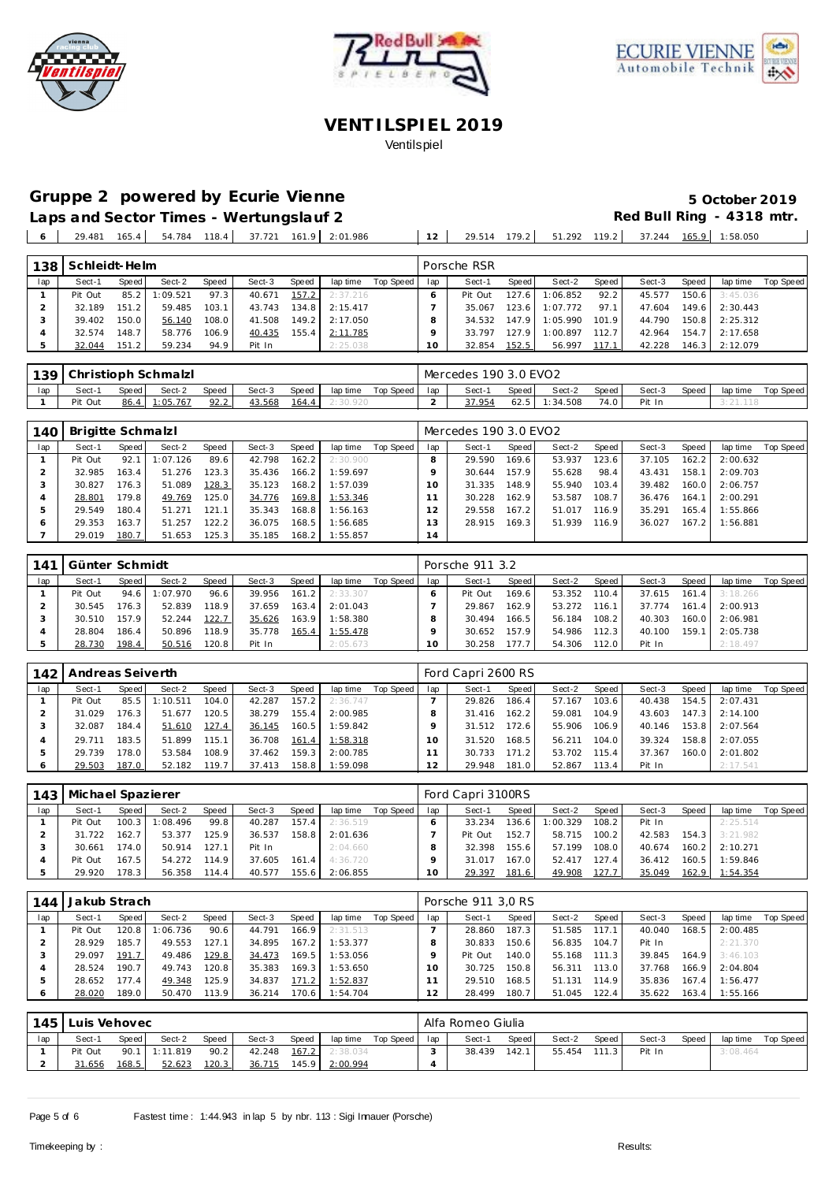





# Gruppe 2 powered by Ecurie Vienne **1999 1999 5 October 2019**

Laps and Sector Times - Wertungslauf 2 **Red Bull Ring - 4318 mtr.** 29.481 165.4 54.784 118.4 37.721 161.9 2:01.986 **12** 29.514 179.2 51.292 119.2 37.244 165.9 1:58.050

| 138 | Schleidt-Helm |       |         |       |        |       |          |           |     | Porsche RSR |        |          |       |        |       |          |           |
|-----|---------------|-------|---------|-------|--------|-------|----------|-----------|-----|-------------|--------|----------|-------|--------|-------|----------|-----------|
| lap | Sect-1        | Speed | Sect-2  | Speed | Sect-3 | Speed | lap time | Top Speed | lap | Sect-1      | Speed  | Sect-2   | Speed | Sect-3 | Speed | lap time | Top Speed |
|     | Pit Out       | 85.2  | :09.521 | 97.3  | 40.671 | 157.2 | 2:37.216 |           |     | Pit Out     | 127.6  | 1:06.852 | 92.2  | 45.577 | 150.6 | 3:45.036 |           |
|     | 32.189        | 151.2 | 59.485  | 103.1 | 43.743 | 134.8 | 2:15.417 |           |     | 35.067      | 123.61 | 1:07.772 | 97.1  | 47.604 | 149.6 | 2:30.443 |           |
|     | 39.402        | 150.0 | 56.140  | 108.0 | 41.508 | 149.2 | 2:17.050 |           | 8   | 34.532      | 147.9  | 1:05.990 | 101.9 | 44.790 | 150.8 | 2:25.312 |           |
|     | 32.574        | 148.7 | 58.776  | 106.9 | 40.435 | 155.4 | 2:11.785 |           |     | 33.797      | 127.9  | 1:00.897 | 112.7 | 42.964 | 154.7 | 2:17.658 |           |
|     | 32.044        | 151.2 | 59.234  | 94.9  | Pit In |       | 2:25.038 |           | 1 O | 32.854      | 152.5  | 56.997   | 117.1 | 42.228 | 146.3 | 2:12.079 |           |

|     | 139 Christioph Schmalzl |       |          |              |        |       |          |                 | Mercedes 190 3.0 EVO2 |         |          |       |        |              |          |           |
|-----|-------------------------|-------|----------|--------------|--------|-------|----------|-----------------|-----------------------|---------|----------|-------|--------|--------------|----------|-----------|
| lap | Sect-1                  | Speed | Sect-2   | <b>Speed</b> | Sect-3 | Speed | lap time | Top Speed   lap | Sect-1                | Speed i | Sect-2   | Speed | Sect-3 | <b>Speed</b> | lap time | Top Speed |
|     | Pit Out                 | 86.4  | 1:05.767 | 92.2         | 43.568 | 164.4 |          |                 | 37.954                | 62.5    | 1:34.508 | 74.0  | Pit In |              |          |           |

| 140 | Brigitte Schmalzl |       |         |       |        |       |                |           |                | Mercedes 190 3.0 EVO2 |       |        |       |        |       |          |           |
|-----|-------------------|-------|---------|-------|--------|-------|----------------|-----------|----------------|-----------------------|-------|--------|-------|--------|-------|----------|-----------|
| lap | Sect-1            | Speed | Sect-2  | Speed | Sect-3 | Speed | lap time       | Top Speed | lap            | Sect-1                | Speed | Sect-2 | Speed | Sect-3 | Speed | lap time | Top Speed |
|     | Pit Out           | 92.1  | :07.126 | 89.6  | 42.798 | 162.2 | 2:30.900       |           | 8              | 29.590                | 169.6 | 53.937 | 123.6 | 37.105 | 162.2 | 2:00.632 |           |
|     | 32.985            | 163.4 | 51.276  | 123.3 | 35.436 | 166.2 | 1:59.697       |           |                | 30.644                | 157.9 | 55.628 | 98.4  | 43.431 | 158.1 | 2:09.703 |           |
|     | 30.827            | 176.3 | 51.089  | 128.3 | 35.123 | 168.2 | 1:57.039       |           | 10             | 31.335                | 148.9 | 55.940 | 103.4 | 39.482 | 160.0 | 2:06.757 |           |
|     | 28.801            | 179.8 | 49.769  | 25.0  | 34.776 | 169.8 | 1:53.346       |           |                | 30.228                | 162.9 | 53.587 | 108.7 | 36.476 | 164.1 | 2:00.291 |           |
| 5   | 29.549            | 180.4 | 51.271  | 121.1 | 35.343 | 168.8 | 1:56.163       |           | 12             | 29.558                | 167.2 | 51.017 | 116.9 | 35.291 | 165.4 | 1:55.866 |           |
| O   | 29.353            | 163.7 | 51.257  | 122.2 | 36.075 | 168.5 | 1:56.685       |           | 13             | 28.915                | 169.3 | 51.939 | 116.9 | 36.027 | 167.2 | 1:56.881 |           |
|     | 29.019            | 180.7 | 51.653  | 25.3  | 35.185 |       | 168.2 1:55.857 |           | $\overline{4}$ |                       |       |        |       |        |       |          |           |

| 141 | Günter Schmidt |       |               |       |        |         |          |           |     | Porsche 911 3.2 |       |        |       |        |       |          |           |
|-----|----------------|-------|---------------|-------|--------|---------|----------|-----------|-----|-----------------|-------|--------|-------|--------|-------|----------|-----------|
| lap | Sect-1         | Speed | Sect-2        | Speed | Sect-3 | Speed   | lap time | Top Speed | lap | Sect-1          | Speed | Sect-2 | Speed | Sect-3 | Speed | lap time | Top Speed |
|     | Pit Out        |       | 94.6 1:07.970 | 96.6  | 39.956 | $161.2$ | 2:33.307 |           |     | Pit Out         | 169.6 | 53.352 | 110.4 | 37.615 | 161.4 | 3:18.266 |           |
|     | 30.545         | 176.3 | 52.839        | 118.9 | 37.659 | $163.4$ | 2:01.043 |           |     | 29.867          | 162.9 | 53.272 | 116.1 | 37.774 | 161.4 | 2:00.913 |           |
|     | 30.510         | 157.9 | 52.244        | 122.7 | 35.626 | 163.9   | 1:58.380 |           |     | 30.494          | 166.5 | 56.184 | 108.2 | 40.303 | 160.0 | 2:06.981 |           |
|     | 28.804         | 186.4 | 50.896        | 118.9 | 35.778 | 165.4   | 1:55.478 |           |     | 30.652          | 157.9 | 54.986 | 112.3 | 40.100 | 159.1 | 2:05.738 |           |
|     | 28.730         | 198.4 | 50.516        | 120.8 | Pit In |         | 2:05.673 |           | 10  | 30.258          | 177.7 | 54.306 | 112.0 | Pit In |       | 2:18.497 |           |

| 142 | Andreas Seiverth |       |          |       |        |       |          |           |                | Ford Capri 2600 RS |       |        |        |        |       |          |           |
|-----|------------------|-------|----------|-------|--------|-------|----------|-----------|----------------|--------------------|-------|--------|--------|--------|-------|----------|-----------|
| lap | Sect-1           | Speed | Sect-2   | Speed | Sect-3 | Speed | lap time | Top Speed | lap            | Sect-1             | Speed | Sect-2 | Speed  | Sect-3 | Speed | lap time | Top Speed |
|     | Pit Out          | 85.5  | : 10.511 | 104.0 | 42.287 | 157.2 | 2:36.747 |           |                | 29.826             | 186.4 | 57.167 | 103.6  | 40.438 | 154.5 | 2:07.431 |           |
|     | 31.029           | 176.3 | 51.677   | 120.5 | 38.279 | 155.4 | 2:00.985 |           |                | 31.416             | 162.2 | 59.081 | 104.9  | 43.603 | 147.3 | 2:14.100 |           |
|     | 32.087           | 184.4 | 51.610   | 127.4 | 36.145 | 160.5 | 1:59.842 |           |                | 31.512             | 172.6 | 55.906 | 106.9  | 40.146 | 153.8 | 2:07.564 |           |
|     | 29.711           | 183.5 | 51.899   | 115.1 | 36.708 | 161.4 | 1:58.318 |           |                | 31.520             | 168.5 | 56.211 | 104.0  | 39.324 | 158.8 | 2:07.055 |           |
|     | 29.739           | 178.0 | 53.584   | 108.9 | 37.462 | 159.3 | 2:00.785 |           |                | 30.733             | 171.2 | 53.702 | 115.41 | 37.367 | 160.0 | 2:01.802 |           |
|     | 29.503           | 187.0 | 52.182   | 119.7 | 37.413 | 158.8 | 1:59.098 |           | $\overline{2}$ | 29.948             | 181.0 | 52.867 | 113.4  | Pit In |       | 2:17.541 |           |

| 143 | Michael Spazierer |       |          |       |        |       |          |           |     | Ford Capri 3100RS |        |          |                |        |       |          |           |
|-----|-------------------|-------|----------|-------|--------|-------|----------|-----------|-----|-------------------|--------|----------|----------------|--------|-------|----------|-----------|
| lap | Sect-1            | Speed | Sect-2   | Speed | Sect-3 | Speed | lap time | Top Speed | lap | Sect-1            | Speed  | Sect-2   | Speed          | Sect-3 | Speed | lap time | Top Speed |
|     | Pit Out           | 100.3 | 1:08.496 | 99.8  | 40.287 | 157.4 | 2:36.519 |           |     | 33.234            | 136.6  | 1:00.329 | 108.2          | Pit In |       | 2:25.514 |           |
|     | 31.722            | 162.7 | 53.377   | 125.9 | 36.537 | 158.8 | 2:01.636 |           |     | Pit Out           | 152.7  | 58.715   | 100.2          | 42.583 | 154.3 | 3:21.982 |           |
|     | 30.661            | 174.0 | 50.914   | 127.1 | Pit In |       | 2:04.660 |           |     | 32.398            | 155.6  | 57.199   | 108.0          | 40.674 | 160.2 | 2:10.271 |           |
|     | Pit Out           | 167.5 | 54.272   | 114.9 | 37.605 | 161.4 | 4:36.720 |           |     | 31.017            | 167.01 | 52.417   | 127.4          | 36.412 | 160.5 | 1:59.846 |           |
|     | 29.920            | 178.3 | 56.358   | 114.4 | 40.577 | 155.6 | 2:06.855 |           |     | 29.397            | 181.6  | 49.908   | <u> 127.7 </u> | 35.049 | 162.9 | 1:54.354 |           |

| 144 | Jakub Strach |       |         |       |        |       |          |           |     | Porsche 911 3.0 RS |       |        |       |        |       |          |           |
|-----|--------------|-------|---------|-------|--------|-------|----------|-----------|-----|--------------------|-------|--------|-------|--------|-------|----------|-----------|
| lap | Sect-1       | Speed | Sect-2  | Speed | Sect-3 | Speed | lap time | Top Speed | lap | Sect-1             | Speed | Sect-2 | Speed | Sect-3 | Speed | lap time | Top Speed |
|     | Pit Out      | 120.8 | :06.736 | 90.6  | 44.791 | 166.9 | 2:31.513 |           |     | 28.860             | 187.3 | 51.585 | 117.1 | 40.040 | 168.5 | 2:00.485 |           |
|     | 28.929       | 185.7 | 49.553  | 127.1 | 34.895 | 167.2 | 1:53.377 |           |     | 30.833             | 150.6 | 56.835 | 104.7 | Pit In |       | 2:21.370 |           |
| 3   | 29.097       | 191.7 | 49.486  | 129.8 | 34.473 | 169.5 | 1:53.056 |           |     | Pit Out            | 140.0 | 55.168 | 111.3 | 39.845 | 164.9 | 3:46.103 |           |
| 4   | 28.524       | 190.7 | 49.743  | 20.8  | 35.383 | 169.3 | 1:53.650 |           | 10  | 30.725             | 150.8 | 56.311 | 113.0 | 37.768 | 166.9 | 2:04.804 |           |
| 5   | 28.652       | 177.4 | 49.348  | 125.9 | 34.837 | 171.2 | 1:52.837 |           |     | 29.510             | 168.5 | 51.131 | 114.9 | 35.836 | 167.4 | 1:56.477 |           |
| 6   | 28.020       | 189.0 | 50.470  | 113.9 | 36.214 | 170.6 | 1:54.704 |           | 2   | 28.499             | 180.7 | 51.045 | 122.4 | 35.622 | 163.4 | 1:55.166 |           |
|     |              |       |         |       |        |       |          |           |     |                    |       |        |       |        |       |          |           |

| 145 | Luis Vehovec |       |          |       |        |       |          |           |     | Alfa Romeo Giulia |        |        |       |        |              |          |           |
|-----|--------------|-------|----------|-------|--------|-------|----------|-----------|-----|-------------------|--------|--------|-------|--------|--------------|----------|-----------|
| lap | Sect-1       | Speed | Sect-2   | Speed | Sect-3 | Speed | lap time | Top Speed | lap | Sect-1            | Speed  | Sect-2 | Speed | Sect-3 | <b>Speed</b> | lap time | Top Speed |
|     | Pit Out      | 90.1  | 1:11.819 | 90.2  | 42.248 | 167.2 | 2:38.034 |           |     | 38.439            | 142.11 | 55.454 | 1113  | Pit In |              | 3:08.464 |           |
|     | 31.656       | 168.5 | 52.623   | 120.3 | 36.715 | 45.9  | 2:00.994 |           |     |                   |        |        |       |        |              |          |           |
|     |              |       |          |       |        |       |          |           |     |                   |        |        |       |        |              |          |           |